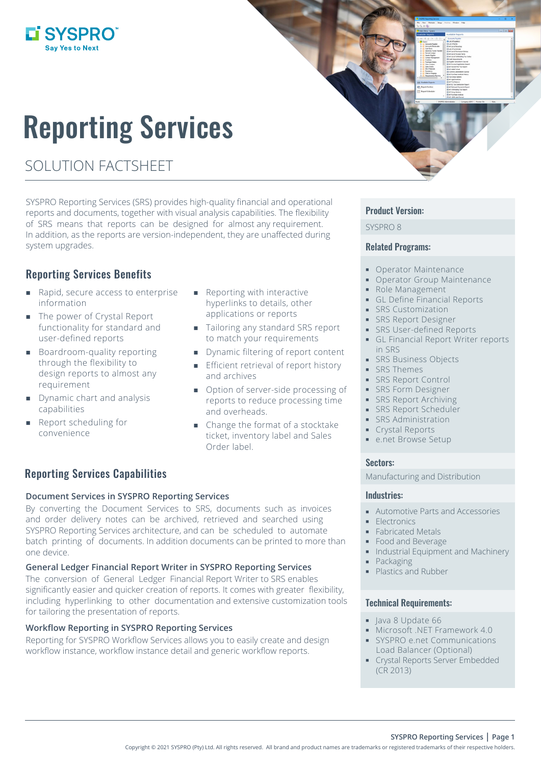# Reporting Services

SOLUTION FACTSHEET

L'SYSPRO

SYSPRO Reporting Services (SRS) provides high-quality financial and operational reports and documents, together with visual analysis capabilities. The flexibility of SRS means that reports can be designed for almost any requirement. In addition, as the reports are version-independent, they are unaffected during system upgrades.

## Reporting Services Benefits

- Rapid, secure access to enterprise information
- The power of Crystal Report functionality for standard and user-defined reports
- **Boardroom-quality reporting** through the flexibility to design reports to almost any requirement
- Dynamic chart and analysis capabilities
- Report scheduling for convenience
- Reporting with interactive hyperlinks to details, other applications or reports
- Tailoring any standard SRS report to match your requirements
- **Dynamic filtering of report content**
- **Efficient retrieval of report history** and archives
- Option of server-side processing of reports to reduce processing time and overheads.
- Change the format of a stocktake ticket, inventory label and Sales Order label.

## Reporting Services Capabilities

#### **Document Services in SYSPRO Reporting Services**

By converting the Document Services to SRS, documents such as invoices and order delivery notes can be archived, retrieved and searched using SYSPRO Reporting Services architecture, and can be scheduled to automate batch printing of documents. In addition documents can be printed to more than one device.

#### **General Ledger Financial Report Writer in SYSPRO Reporting Services**

The conversion of General Ledger Financial Report Writer to SRS enables significantly easier and quicker creation of reports. It comes with greater flexibility, including hyperlinking to other documentation and extensive customization tools for tailoring the presentation of reports.

#### **Workflow Reporting in SYSPRO Reporting Services**

Reporting for SYSPRO Workflow Services allows you to easily create and design workflow instance, workflow instance detail and generic workflow reports.

#### Product Version:

SYSPRO 8

#### Related Programs:

- **Operator Maintenance**
- **Operator Group Maintenance**
- Role Management
- **GL Define Financial Reports**
- SRS Customization
- **SRS Report Designer**
- **SRS User-defined Reports**
- GL Financial Report Writer reports in SRS
- **SRS Business Objects**
- **SRS Themes**
- **SRS Report Control**
- **SRS Form Designer**
- **SRS Report Archiving**
- **SRS Report Scheduler**
- **SRS Administration**
- Crystal Reports
- **e.net Browse Setup**

#### Sectors:

Manufacturing and Distribution

#### Industries:

- Automotive Parts and Accessories
- **Electronics**
- **Fabricated Metals**
- Food and Beverage
- Industrial Equipment and Machinery
- **Packaging**
- Plastics and Rubber

#### Technical Requirements:

- lava 8 Update 66
- Microsoft .NET Framework 4.0
- SYSPRO e.net Communications Load Balancer (Optional)
- **Crystal Reports Server Embedded** (CR 2013)